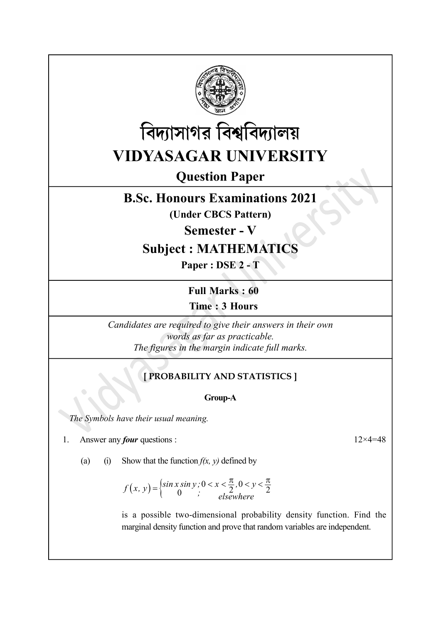



# Question Paper

## B.Sc. Honours Examinations 2021

(Under CBCS Pattern)

Semester - V

# Subject : MATHEMATICS

Paper : DSE 2 - T

Full Marks : 60 Time : 3 Hours

Candidates are required to give their answers in their own words as far as practicable. The figures in the margin indicate full marks. **Thus Figure :** 3 Hours<br> **Thus :** 3 Hours<br>
idates are required to give their answers in their own<br>
words as far as practicable.<br>
The figures in the margin indicate full marks.<br>
[PROBABILITY AND STATISTICS ]<br>
Group-A<br>
e th

## [ PROBABILITY AND STATISTICS ]

### Group-A

The Symbols have their usual meaning.

- 1. Answer any *four* questions :  $12 \times 4 = 48$ 
	- (a) (i) Show that the function  $f(x, y)$  defined by

$$
f(x, y) = \begin{cases} \sin x \sin y; 0 < x < \frac{\pi}{2}, 0 < y < \frac{\pi}{2} \\ 0 & ; \quad \text{elsewhere} \end{cases}
$$

is a possible two-dimensional probability density function. Find the marginal density function and prove that random variables are independent.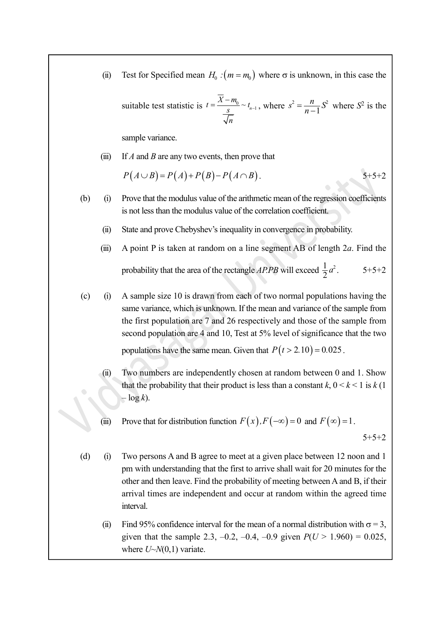(ii) Test for Specified mean  $H_0$ :  $(m = m_0)$  where  $\sigma$  is unknown, in this case the

suitable test statistic is 
$$
t = \frac{\overline{X} - m_0}{\frac{s}{\sqrt{n}}} \sim t_{n-1}
$$
, where  $s^2 = \frac{n}{n-1}S^2$  where  $S^2$  is the

sample variance.

(iii) If A and B are any two events, then prove that

$$
P(A \cup B) = P(A) + P(B) - P(A \cap B).
$$
 5+5+2

- (b) (i) Prove that the modulus value of the arithmetic mean of the regression coefficients is not less than the modulus value of the correlation coefficient.
	- (ii) State and prove Chebyshev's inequality in convergence in probability.
	- (iii) A point P is taken at random on a line segment AB of length  $2a$ . Find the probability that the area of the rectangle *AP.PB* will exceed  $\frac{1}{2}a^2$ 2  $5+5+2$
- (c) (i) A sample size 10 is drawn from each of two normal populations having the same variance, which is unknown. If the mean and variance of the sample from the first population are 7 and 26 respectively and those of the sample from second population are 4 and 10, Test at 5% level of significance that the two populations have the same mean. Given that  $P(t > 2.10) = 0.025$ .
	- (ii) Two numbers are independently chosen at random between 0 and 1. Show that the probability that their product is less than a constant  $k$ ,  $0 \le k \le 1$  is  $k$  (1)  $-\log k$ ).

(iii) Prove that for distribution function  $F(x)$ ,  $F(-\infty) = 0$  and  $F(\infty) = 1$ .

 $5+5+2$ 

- (d) (i) Two persons A and B agree to meet at a given place between 12 noon and 1 pm with understanding that the first to arrive shall wait for 20 minutes for the other and then leave. Find the probability of meeting between A and B, if their arrival times are independent and occur at random within the agreed time interval.
	- (ii) Find 95% confidence interval for the mean of a normal distribution with  $\sigma = 3$ , given that the sample 2.3,  $-0.2$ ,  $-0.4$ ,  $-0.9$  given  $P(U > 1.960) = 0.025$ , where  $U \sim N(0,1)$  variate.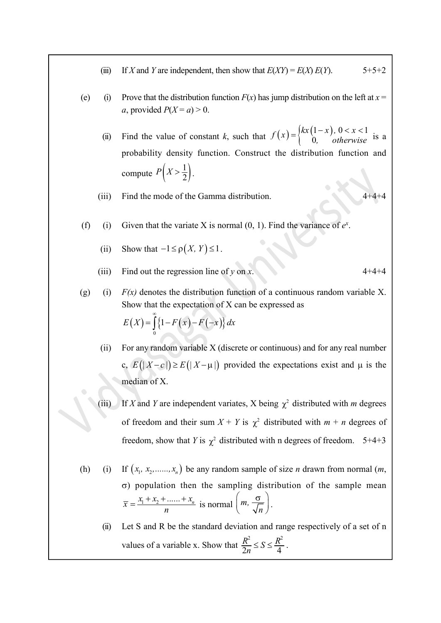- (iii) If X and Y are independent, then show that  $E(XY) = E(X) E(Y)$ . 5+5+2
- (e) (i) Prove that the distribution function  $F(x)$  has jump distribution on the left at  $x =$ a, provided  $P(X = a) > 0$ .
- (i) If *X* and *Y* are independent, then show that  $E(XY) = E(X) E(Y)$ . 5+5+2<br>
(i) Prove that the distribution function  $F(x)$  has jump distribution on the left at  $x = a$ , provided  $P(X = a) > 0$ .<br>
(ii) Find the value of constant *k*  $f(x) = \begin{cases} kx(1-x), & 0 < x < 1 \\ 0, & otherwise \end{cases}$  i  $\begin{array}{c}\n 0, & \text{otherwise}\n \end{array}$  is a probability density function. Construct the distribution function and compute  $P\left(X>\frac{1}{2}\right)$ .  $\frac{1}{2}$ . Find the value of constant k, such that  $f(x) = \begin{cases} kx(1-x), 0 \le x \le 1 \\ 0, \quad \text{otherwise} \end{cases}$  is a<br>probability density function. Construct the distribution function and<br>compute  $P\left(X > \frac{1}{2}\right)$ .<br>Find the mode of the Gamma distributi
	- (iii) Find the mode of the Gamma distribution.

- (f) (i) Given that the variate X is normal  $(0, 1)$ . Find the variance of  $e^x$ .
	- (ii) Show that  $-1 \le \rho(X, Y) \le 1$ .
	- (iii) Find out the regression line of y on x.  $4+4+4$
- (g) (i)  $F(x)$  denotes the distribution function of a continuous random variable X. Show that the expectation of X can be expressed as

$$
E(X) = \int_{0}^{\infty} \{1 - F(x) - F(-x)\} dx
$$

- (ii) For any random variable X (discrete or continuous) and for any real number c,  $E(|X-c|) \ge E(|X-\mu|)$  provided the expectations exist and  $\mu$  is the median of X.
- (iii) If X and Y are independent variates, X being  $\chi^2$  distributed with m degrees of freedom and their sum  $X + Y$  is  $\chi^2$  distributed with  $m + n$  degrees of freedom, show that Y is  $\chi^2$  distributed with n degrees of freedom. 5+4+3
- (h) (i) If  $(x_1, x_2, \ldots, x_n)$  be any random sample of size *n* drawn from normal  $(m,$  $\sigma$ ) population then the sampling distribution of the sample mean  $\overline{x} = \frac{x_1 + x_2 + \dots + x_n}{n}$  $=\frac{x_1 + x_2 + \dots + x_n}{n}$  is normal  $\left(m, \frac{\sigma}{\sqrt{n}}\right)$  $\begin{pmatrix} 1 & 1 \\ 1 & 1 \end{pmatrix}$  $\left(m,\frac{6}{\sqrt{n}}\right).$ 
	- (ii) Let S and R be the standard deviation and range respectively of a set of n values of a variable x. Show that  $\frac{R^2}{2n} \le S \le \frac{R^2}{4}$  $\frac{n}{2n} \leq S \leq \frac{n}{4}$ .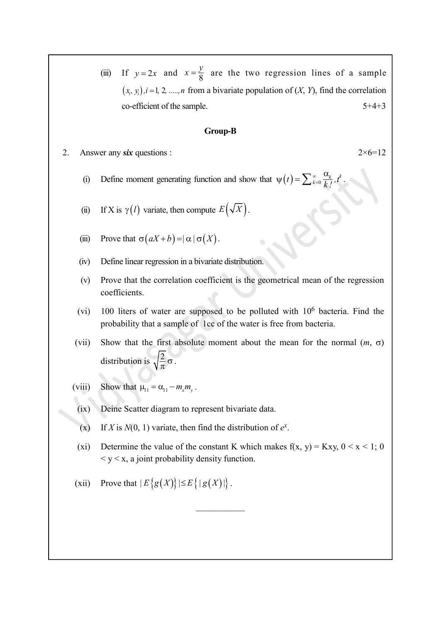(iii) If  $y=2x$  and  $x=\frac{y}{8}$  are the two regression lines of a sample  $(x_i, y_i)$ ,  $i = 1, 2, \dots, n$  from a bivariate population of  $(X, Y)$ , find the correlation co-efficient of the sample. 5+4+3 (iii) If  $y = 2x$  and  $x = \frac{y}{8}$  are the two regression lines of a sample  $(x, y,) \cdot i = 1, 2, \dots, n$  from a bivariate population of  $(X, Y)$ , find the correlation co-efficient of the sample.<br> **Group-B**<br> **Croup-B**<br> **Croup-B**<br> **Cr** 

#### Group-B

- 2. Answer any six questions :  $2 \times 6 = 12$ 
	- $t$ ) =  $\sum_{k=0}^{\infty} \frac{\alpha_k}{k!}$ ,  $t^k$ .  $=$  $\Psi(t) = \sum_{k=0}^{\infty} \frac{\alpha_k}{k!}, t^k$ .
	- (ii) If X is  $\gamma(l)$  variate, then compute  $E(\sqrt{X})$ .
	- (iii) Prove that  $\sigma(aX + b) = |\alpha| \sigma(X)$ .
	- (iv) Define linear regression in a bivariate distribution.
	- (v) Prove that the correlation coefficient is the geometrical mean of the regression coefficients.
	- (vi) 100 liters of water are supposed to be polluted with 10<sup>6</sup> bacteria. Find the probability that a sample of 1cc of the water is free from bacteria.
	- (vii) Show that the first absolute moment about the mean for the normal  $(m, \sigma)$ distribution is  $\sqrt{\frac{2}{\pi}}\sigma$  $\frac{2}{5}$   $\sigma$ .
	- (viii) Show that  $\mu_{11} = \alpha_{11} m_x m_y$ .
	- (ix) Deine Scatter diagram to represent bivariate data.
	- (x) If X is  $N(0, 1)$  variate, then find the distribution of  $e^x$ .
	- (xi) Determine the value of the constant K which makes  $f(x, y) = Kxy$ ,  $0 \le x \le 1$ ; 0  $\langle y \rangle \langle x, a \rangle$  joint probability density function.
	- (xii) Prove that  $|E{g(X)}|\leq E{|g(X)|}$ .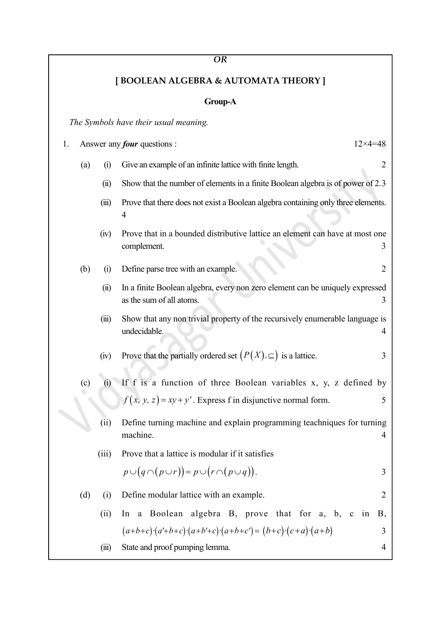### OR

## [ BOOLEAN ALGEBRA & AUTOMATA THEORY ]

## Group-A

The Symbols have their usual meaning.

| $12\times 4=48$<br>1.<br>Answer any <i>four</i> questions : |       |                                                                                                                |  |  |
|-------------------------------------------------------------|-------|----------------------------------------------------------------------------------------------------------------|--|--|
| (a)                                                         | (i)   | Give an example of an infinite lattice with finite length.<br>$\overline{2}$                                   |  |  |
|                                                             | (ii)  | Show that the number of elements in a finite Boolean algebra is of power of 2.3                                |  |  |
|                                                             | (iii) | Prove that there does not exist a Boolean algebra containing only three elements.<br>4                         |  |  |
|                                                             | (iv)  | Prove that in a bounded distributive lattice an element can have at most one<br>complement.<br>3               |  |  |
| (b)                                                         | (i)   | Define parse tree with an example.<br>2                                                                        |  |  |
|                                                             | (ii)  | In a finite Boolean algebra, every non zero element can be uniquely expressed<br>as the sum of all atoms.<br>3 |  |  |
|                                                             | (iii) | Show that any non trivial property of the recursively enumerable language is<br>undecidable.<br>4              |  |  |
|                                                             | (iv)  | Prove that the partially ordered set $(P(X), \subseteq)$ is a lattice.<br>3                                    |  |  |
| (c)<br>(i)                                                  |       | If f is a function of three Boolean variables x, y, z defined by                                               |  |  |
|                                                             |       | $f(x, y, z) = xy + y'$ . Express f in disjunctive normal form.<br>5                                            |  |  |
|                                                             | (ii)  | Define turning machine and explain programming teachniques for turning<br>machine.<br>4                        |  |  |
|                                                             | (iii) | Prove that a lattice is modular if it satisfies                                                                |  |  |
|                                                             |       | $p\cup (q\cap (p\cup r))=p\cup (r\cap (p\cup q)).$<br>3                                                        |  |  |
| (d)                                                         | (i)   | Define modular lattice with an example.<br>$\overline{2}$                                                      |  |  |
|                                                             | (ii)  | a Boolean algebra B, prove that for a, b, c in<br><b>B</b> ,<br>In                                             |  |  |
|                                                             |       | $(a+b+c)(a'+b+c)(a+b'+c)(a+b+c') = (b+c)(c+a)(a+b)$<br>3                                                       |  |  |
|                                                             | (iii) | State and proof pumping lemma.<br>4                                                                            |  |  |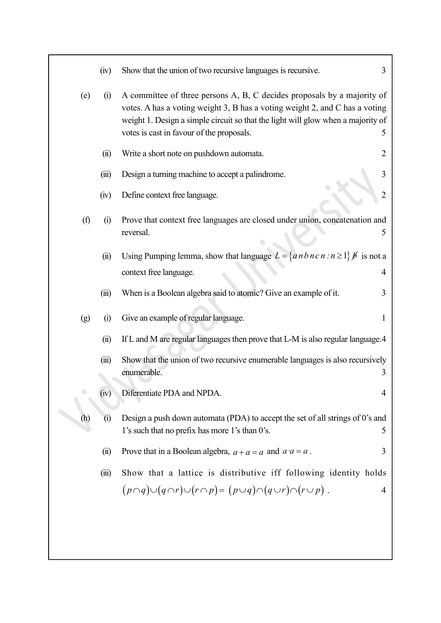| (iv)  | Show that the union of two recursive languages is recursive.                                |                                                                                                                                                                                                                                                                                                                                                                                                                                                                                                                                                                                                                                                                                                                                                                                                                                                          |
|-------|---------------------------------------------------------------------------------------------|----------------------------------------------------------------------------------------------------------------------------------------------------------------------------------------------------------------------------------------------------------------------------------------------------------------------------------------------------------------------------------------------------------------------------------------------------------------------------------------------------------------------------------------------------------------------------------------------------------------------------------------------------------------------------------------------------------------------------------------------------------------------------------------------------------------------------------------------------------|
| (i)   | votes is cast in favour of the proposals.                                                   |                                                                                                                                                                                                                                                                                                                                                                                                                                                                                                                                                                                                                                                                                                                                                                                                                                                          |
| (ii)  | Write a short note on pushdown automata.                                                    |                                                                                                                                                                                                                                                                                                                                                                                                                                                                                                                                                                                                                                                                                                                                                                                                                                                          |
| (iii) | Design a turning machine to accept a palindrome.                                            |                                                                                                                                                                                                                                                                                                                                                                                                                                                                                                                                                                                                                                                                                                                                                                                                                                                          |
| (iv)  | Define context free language.                                                               |                                                                                                                                                                                                                                                                                                                                                                                                                                                                                                                                                                                                                                                                                                                                                                                                                                                          |
| (i)   | reversal.                                                                                   |                                                                                                                                                                                                                                                                                                                                                                                                                                                                                                                                                                                                                                                                                                                                                                                                                                                          |
| (ii)  | context free language.                                                                      |                                                                                                                                                                                                                                                                                                                                                                                                                                                                                                                                                                                                                                                                                                                                                                                                                                                          |
| (iii) | When is a Boolean algebra said to atomic? Give an example of it.                            |                                                                                                                                                                                                                                                                                                                                                                                                                                                                                                                                                                                                                                                                                                                                                                                                                                                          |
| (i)   | Give an example of regular language.                                                        |                                                                                                                                                                                                                                                                                                                                                                                                                                                                                                                                                                                                                                                                                                                                                                                                                                                          |
| (ii)  |                                                                                             |                                                                                                                                                                                                                                                                                                                                                                                                                                                                                                                                                                                                                                                                                                                                                                                                                                                          |
| (iii) | enumerable.                                                                                 |                                                                                                                                                                                                                                                                                                                                                                                                                                                                                                                                                                                                                                                                                                                                                                                                                                                          |
| (iv)  | Diferentiate PDA and NPDA.                                                                  |                                                                                                                                                                                                                                                                                                                                                                                                                                                                                                                                                                                                                                                                                                                                                                                                                                                          |
| (i)   | 1's such that no prefix has more 1's than 0's.                                              |                                                                                                                                                                                                                                                                                                                                                                                                                                                                                                                                                                                                                                                                                                                                                                                                                                                          |
| (ii)  | Prove that in a Boolean algebra, $a + a = a$ and $a \cdot a = a$ .                          |                                                                                                                                                                                                                                                                                                                                                                                                                                                                                                                                                                                                                                                                                                                                                                                                                                                          |
| (iii) |                                                                                             |                                                                                                                                                                                                                                                                                                                                                                                                                                                                                                                                                                                                                                                                                                                                                                                                                                                          |
|       | $(p \cap q) \cup (q \cap r) \cup (r \cap p) = (p \cup q) \cap (q \cup r) \cap (r \cup p)$ . |                                                                                                                                                                                                                                                                                                                                                                                                                                                                                                                                                                                                                                                                                                                                                                                                                                                          |
|       |                                                                                             |                                                                                                                                                                                                                                                                                                                                                                                                                                                                                                                                                                                                                                                                                                                                                                                                                                                          |
|       |                                                                                             |                                                                                                                                                                                                                                                                                                                                                                                                                                                                                                                                                                                                                                                                                                                                                                                                                                                          |
|       |                                                                                             | 3<br>A committee of three persons A, B, C decides proposals by a majority of<br>votes. A has a voting weight 3, B has a voting weight 2, and C has a voting<br>weight 1. Design a simple circuit so that the light will glow when a majority of<br>5<br>2<br>3<br>$\overline{2}$<br>Prove that context free languages are closed under union, concatenation and<br>5<br>Using Pumping lemma, show that language $L = \{a \, n \, b \, n \, c \, n : n \ge 1\}$ $\beta$ is not a<br>4<br>3<br>1<br>If L and M are regular languages then prove that L-M is also regular language.4<br>Show that the union of two recursive enumerable languages is also recursively<br>3<br>Design a push down automata (PDA) to accept the set of all strings of 0's and<br>5<br>3<br>Show that a lattice is distributive iff following identity holds<br>$\overline{4}$ |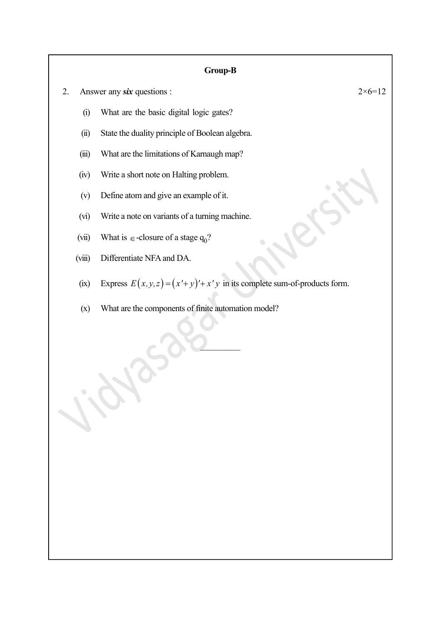#### Group-B

- 2. Answer any six questions :  $2 \times 6 = 12$ 
	- (i) What are the basic digital logic gates?
	- (ii) State the duality principle of Boolean algebra.
	- (iii) What are the limitations of Karnaugh map?
	- (iv) Write a short note on Halting problem.
	- (v) Define atom and give an example of it.
	- (vi) Write a note on variants of a turning machine.
	- (vii) What is  $\epsilon$ -closure of a stage  $q_0$ ?
	- (viii) Differentiate NFA and DA.
	- (ix) Express  $E(x, y, z) = (x' + y)' + x' y$  in its complete sum-of-products form.

 $\overline{\phantom{a}}$ 

(x) What are the components of finite automation model?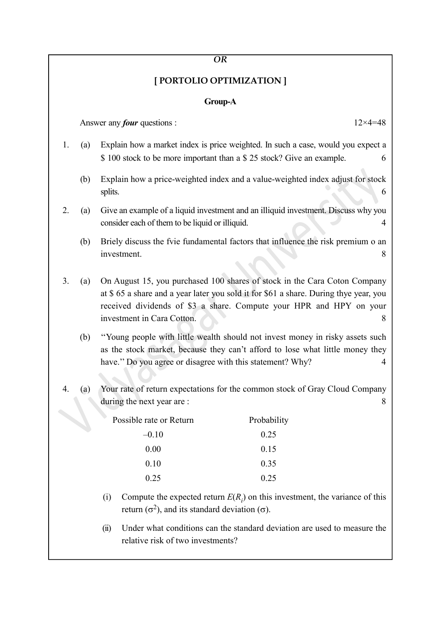#### OR

### [ PORTOLIO OPTIMIZATION ]

### Group-A

Answer any *four* questions :  $12 \times 4 = 48$ 

- 1. (a) Explain how a market index is price weighted. In such a case, would you expect a \$ 100 stock to be more important than a \$ 25 stock? Give an example. 6
	- (b) Explain how a price-weighted index and a value-weighted index adjust for stock splits.  $\begin{bmatrix} 6 \end{bmatrix}$
- 2. (a) Give an example of a liquid investment and an illiquid investment. Discuss why you consider each of them to be liquid or illiquid. 4
	- (b) Briely discuss the fvie fundamental factors that influence the risk premium o an investment. 8
- 3. (a) On August 15, you purchased 100 shares of stock in the Cara Coton Company at \$ 65 a share and a year later you sold it for \$61 a share. During thye year, you received dividends of \$3 a share. Compute your HPR and HPY on your investment in Cara Cotton. 8
	- (b) ''Young people with little wealth should not invest money in risky assets such as the stock market, because they can't afford to lose what little money they have." Do you agree or disagree with this statement? Why? 4
- 4. (a) Your rate of return expectations for the common stock of Gray Cloud Company during the next year are : 8

| Possible rate or Return | Probability |
|-------------------------|-------------|
| $-0.10$                 | 0.25        |
| 0.00                    | 0.15        |
| 0.10                    | 0.35        |
| 0.25                    | 0.25        |

(i) Compute the expected return  $E(R_i)$  on this investment, the variance of this return ( $\sigma^2$ ), and its standard deviation ( $\sigma$ ).

(ii) Under what conditions can the standard deviation are used to measure the relative risk of two investments?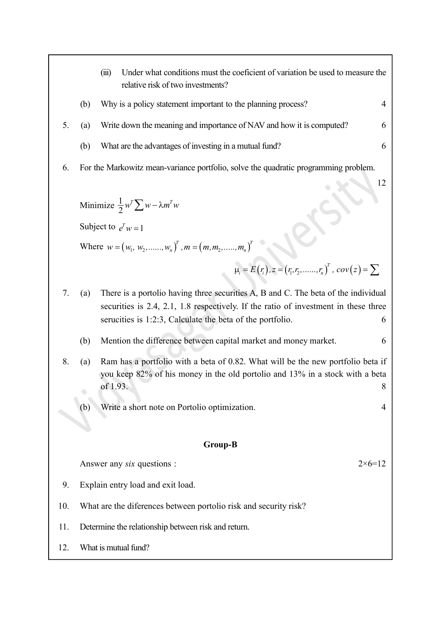- (iii) Under what conditions must the coeficient of variation be used to measure the relative risk of two investments? (b) Why is a policy statement important to the planning process? 4 5. (a) Write down the meaning and importance of NAV and how it is computed? 6 (b) What are the advantages of investing in a mutual fund? 6 6. For the Markowitz mean-variance portfolio, solve the quadratic programming problem. 12 Minimize  $\frac{1}{2} w^T \sum w - \lambda m^T w$ Subject to  $e^T w = 1$ Where  $w = (w_1, w_2, \dots, w_n)^T$ ,  $m = (m, m_2, \dots, m_n)^T$  $\mu_i = E(r_i), z = (r_1, r_2, \dots, r_n)^T$ ,  $cov(z) = \sum$ 7. (a) There is a portolio having three securities A, B and C. The beta of the individual securities is 2.4, 2.1, 1.8 respectively. If the ratio of investment in these three serucities is 1:2:3, Calculate the beta of the portfolio. 6 (b) Mention the difference between capital market and money market. 6 8. (a) Ram has a portfolio with a beta of 0.82. What will be the new portfolio beta if you keep 82% of his money in the old portolio and 13% in a stock with a beta of 1.93.  $8 \mid$ (b) Write a short note on Portolio optimization. 4 Group-B Answer any six questions :  $2 \times 6 = 12$ 9. Explain entry load and exit load. 10. What are the diferences between portolio risk and security risk? 11. Determine the relationship between risk and return.
	- 12. What is mutual fund?